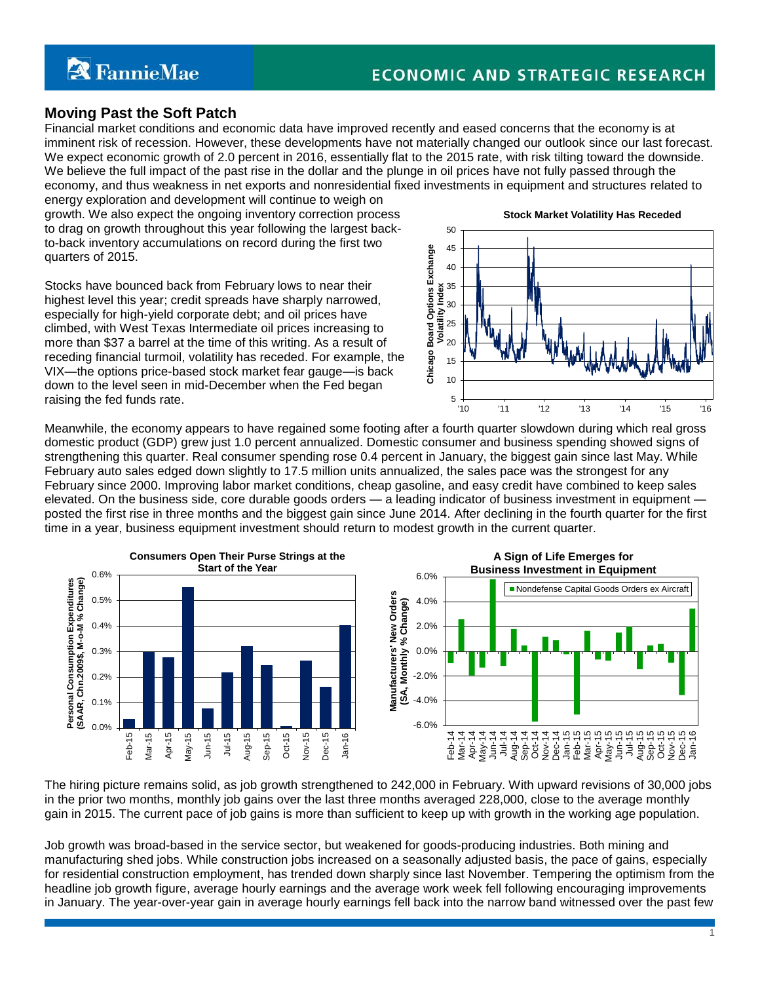# **Moving Past the Soft Patch**

Financial market conditions and economic data have improved recently and eased concerns that the economy is at imminent risk of recession. However, these developments have not materially changed our outlook since our last forecast. We expect economic growth of 2.0 percent in 2016, essentially flat to the 2015 rate, with risk tilting toward the downside. We believe the full impact of the past rise in the dollar and the plunge in oil prices have not fully passed through the economy, and thus weakness in net exports and nonresidential fixed investments in equipment and structures related to

energy exploration and development will continue to weigh on growth. We also expect the ongoing inventory correction process to drag on growth throughout this year following the largest backto-back inventory accumulations on record during the first two quarters of 2015.

Stocks have bounced back from February lows to near their highest level this year; credit spreads have sharply narrowed, especially for high-yield corporate debt; and oil prices have climbed, with West Texas Intermediate oil prices increasing to more than \$37 a barrel at the time of this writing. As a result of receding financial turmoil, volatility has receded. For example, the VIX—the options price-based stock market fear gauge—is back down to the level seen in mid-December when the Fed began raising the fed funds rate.



Meanwhile, the economy appears to have regained some footing after a fourth quarter slowdown during which real gross domestic product (GDP) grew just 1.0 percent annualized. Domestic consumer and business spending showed signs of strengthening this quarter. Real consumer spending rose 0.4 percent in January, the biggest gain since last May. While February auto sales edged down slightly to 17.5 million units annualized, the sales pace was the strongest for any February since 2000. Improving labor market conditions, cheap gasoline, and easy credit have combined to keep sales elevated. On the business side, core durable goods orders — a leading indicator of business investment in equipment posted the first rise in three months and the biggest gain since June 2014. After declining in the fourth quarter for the first time in a year, business equipment investment should return to modest growth in the current quarter.



The hiring picture remains solid, as job growth strengthened to 242,000 in February. With upward revisions of 30,000 jobs in the prior two months, monthly job gains over the last three months averaged 228,000, close to the average monthly gain in 2015. The current pace of job gains is more than sufficient to keep up with growth in the working age population.

Job growth was broad-based in the service sector, but weakened for goods-producing industries. Both mining and manufacturing shed jobs. While construction jobs increased on a seasonally adjusted basis, the pace of gains, especially for residential construction employment, has trended down sharply since last November. Tempering the optimism from the headline job growth figure, average hourly earnings and the average work week fell following encouraging improvements in January. The year-over-year gain in average hourly earnings fell back into the narrow band witnessed over the past few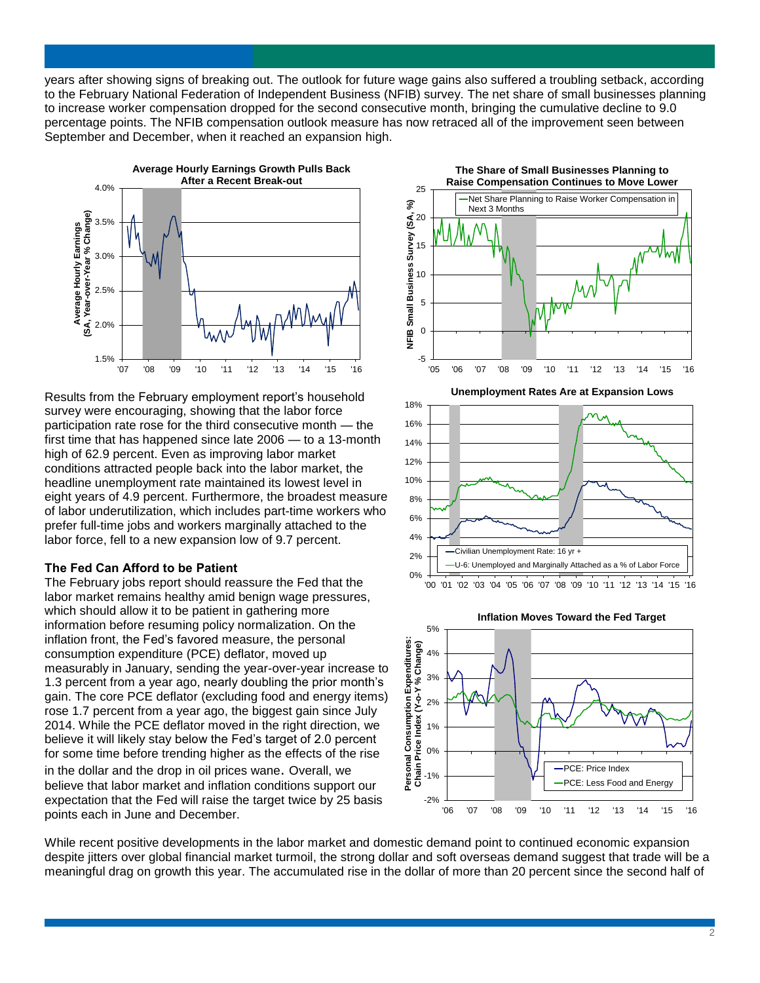years after showing signs of breaking out. The outlook for future wage gains also suffered a troubling setback, according to the February National Federation of Independent Business (NFIB) survey. The net share of small businesses planning to increase worker compensation dropped for the second consecutive month, bringing the cumulative decline to 9.0 percentage points. The NFIB compensation outlook measure has now retraced all of the improvement seen between September and December, when it reached an expansion high.



Results from the February employment report's household survey were encouraging, showing that the labor force participation rate rose for the third consecutive month — the first time that has happened since late 2006 — to a 13-month high of 62.9 percent. Even as improving labor market conditions attracted people back into the labor market, the headline unemployment rate maintained its lowest level in eight years of 4.9 percent. Furthermore, the broadest measure of labor underutilization, which includes part-time workers who prefer full-time jobs and workers marginally attached to the labor force, fell to a new expansion low of 9.7 percent.

### **The Fed Can Afford to be Patient**

The February jobs report should reassure the Fed that the labor market remains healthy amid benign wage pressures, which should allow it to be patient in gathering more information before resuming policy normalization. On the inflation front, the Fed's favored measure, the personal consumption expenditure (PCE) deflator, moved up measurably in January, sending the year-over-year increase to 1.3 percent from a year ago, nearly doubling the prior month's gain. The core PCE deflator (excluding food and energy items) rose 1.7 percent from a year ago, the biggest gain since July 2014. While the PCE deflator moved in the right direction, we believe it will likely stay below the Fed's target of 2.0 percent for some time before trending higher as the effects of the rise

in the dollar and the drop in oil prices wane. Overall, we believe that labor market and inflation conditions support our expectation that the Fed will raise the target twice by 25 basis points each in June and December.







While recent positive developments in the labor market and domestic demand point to continued economic expansion despite jitters over global financial market turmoil, the strong dollar and soft overseas demand suggest that trade will be a meaningful drag on growth this year. The accumulated rise in the dollar of more than 20 percent since the second half of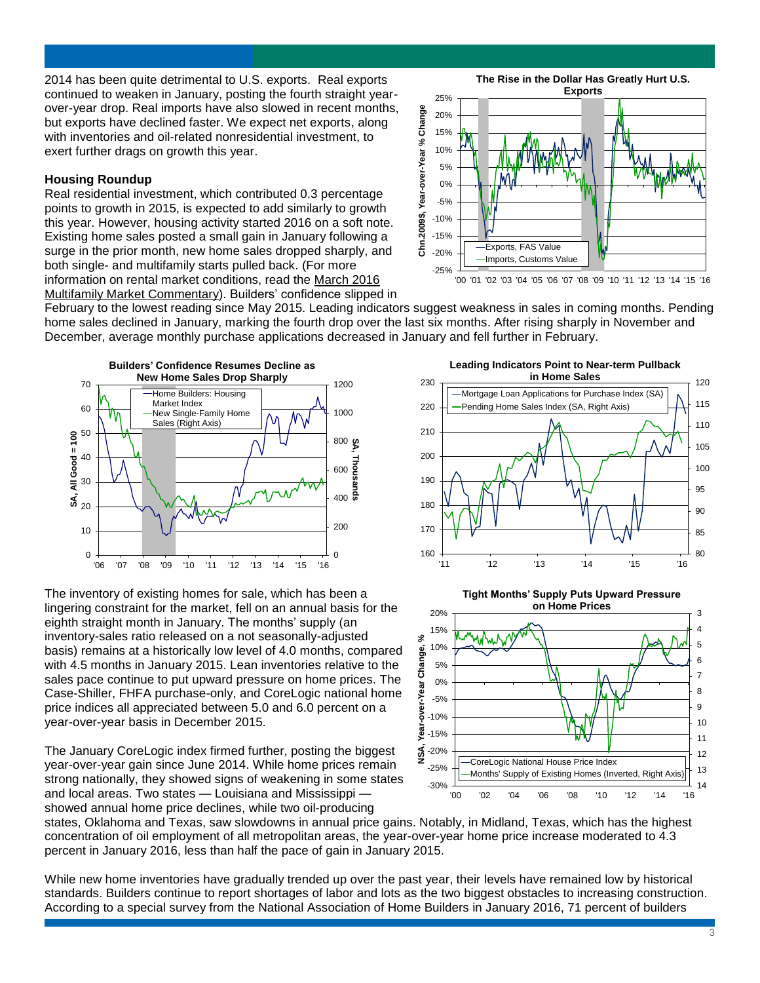2014 has been quite detrimental to U.S. exports. Real exports continued to weaken in January, posting the fourth straight yearover-year drop. Real imports have also slowed in recent months, but exports have declined faster. We expect net exports, along with inventories and oil-related nonresidential investment, to exert further drags on growth this year.

## **Housing Roundup**

Real residential investment, which contributed 0.3 percentage points to growth in 2015, is expected to add similarly to growth this year. However, housing activity started 2016 on a soft note. Existing home sales posted a small gain in January following a surge in the prior month, new home sales dropped sharply, and both single- and multifamily starts pulled back. (For more information on rental market conditions, read the March 2016 Multifamily Market Commentary). Builders' confidence slipped in

-25% -20% -15% -10% -5% 0% 5% 10% 15% 20% 25% '00 '01 '02 '03 '04 '05 '06 '07 '08 '09 '10 '11 '12 '13 '14 '15 '16 **Chn.2009\$, Year-over-Year % Change The Rise in the Dollar Has Greatly Hurt U.S. Exports** Exports, FAS Value Imports, Customs Value

February to the lowest reading since May 2015. Leading indicators suggest weakness in sales in coming months. Pending home sales declined in January, marking the fourth drop over the last six months. After rising sharply in November and December, average monthly purchase applications decreased in January and fell further in February.



The inventory of existing homes for sale, which has been a lingering constraint for the market, fell on an annual basis for the eighth straight month in January. The months' supply (an inventory-sales ratio released on a not seasonally-adjusted basis) remains at a historically low level of 4.0 months, compared with 4.5 months in January 2015. Lean inventories relative to the sales pace continue to put upward pressure on home prices. The Case-Shiller, FHFA purchase-only, and CoreLogic national home price indices all appreciated between 5.0 and 6.0 percent on a year-over-year basis in December 2015.

The January CoreLogic index firmed further, posting the biggest year-over-year gain since June 2014. While home prices remain strong nationally, they showed signs of weakening in some states and local areas. Two states — Louisiana and Mississippi showed annual home price declines, while two oil-producing





states, Oklahoma and Texas, saw slowdowns in annual price gains. Notably, in Midland, Texas, which has the highest concentration of oil employment of all metropolitan areas, the year-over-year home price increase moderated to 4.3 percent in January 2016, less than half the pace of gain in January 2015.

While new home inventories have gradually trended up over the past year, their levels have remained low by historical standards. Builders continue to report shortages of labor and lots as the two biggest obstacles to increasing construction. According to a special survey from the National Association of Home Builders in January 2016, 71 percent of builders

3